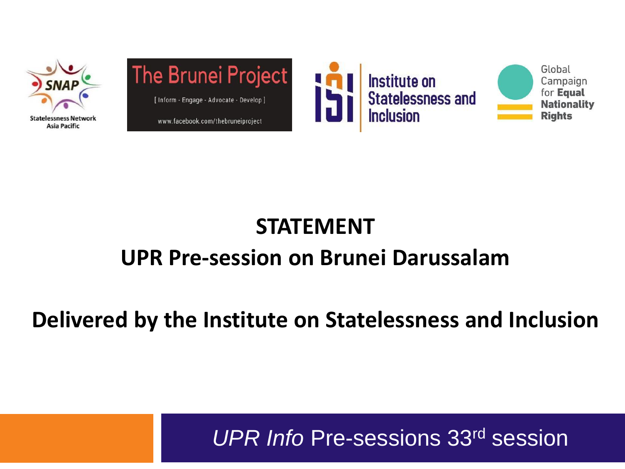



www.facebook.com/thebruneiproject





#### **STATEMENT UPR Pre-session on Brunei Darussalam**

#### **Delivered by the Institute on Statelessness and Inclusion**

*UPR Info* Pre-sessions 33rd session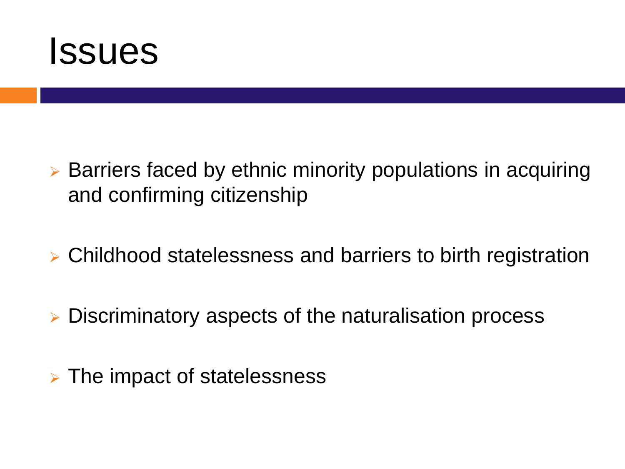

- ➢ Barriers faced by ethnic minority populations in acquiring and confirming citizenship
- ➢ Childhood statelessness and barriers to birth registration
- ➢ Discriminatory aspects of the naturalisation process
- ➢ The impact of statelessness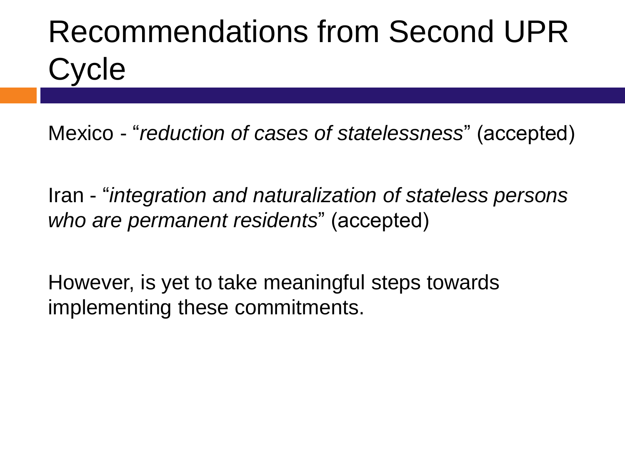## Recommendations from Second UPR **Cycle**

Mexico - "*reduction of cases of statelessness*" (accepted)

Iran - "*integration and naturalization of stateless persons who are permanent residents*" (accepted)

However, is yet to take meaningful steps towards implementing these commitments.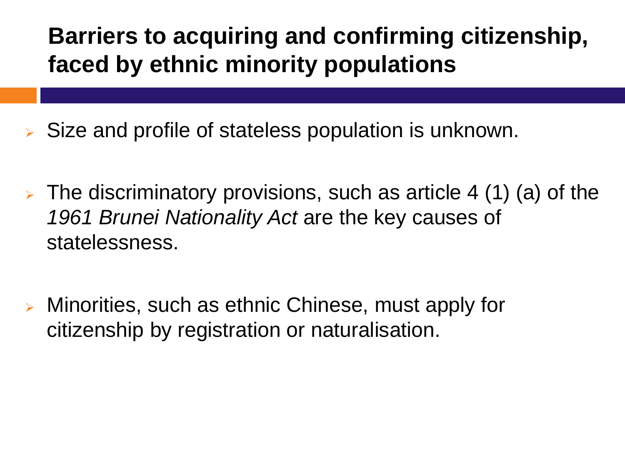### **Barriers to acquiring and confirming citizenship, faced by ethnic minority populations**

- ➢ Size and profile of stateless population is unknown.
- $\triangleright$  The discriminatory provisions, such as article 4 (1) (a) of the *1961 Brunei Nationality Act* are the key causes of statelessness.
- ➢ Minorities, such as ethnic Chinese, must apply for citizenship by registration or naturalisation.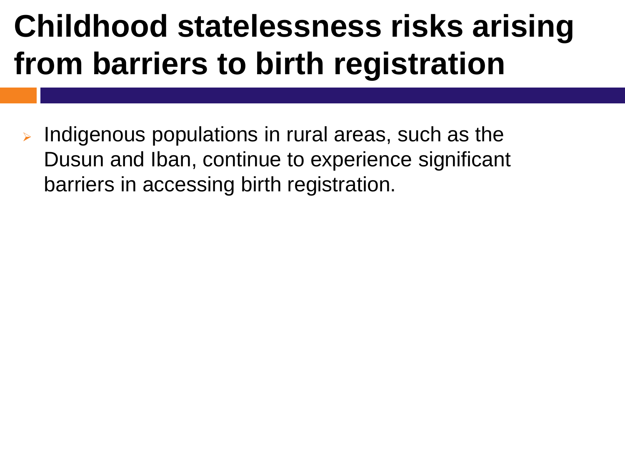### **Childhood statelessness risks arising from barriers to birth registration**

Indigenous populations in rural areas, such as the Dusun and Iban, continue to experience significant barriers in accessing birth registration.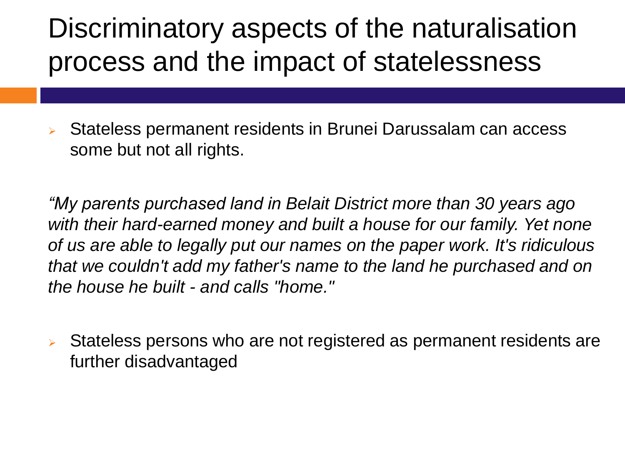### Discriminatory aspects of the naturalisation process and the impact of statelessness

➢ Stateless permanent residents in Brunei Darussalam can access some but not all rights.

*"My parents purchased land in Belait District more than 30 years ago*  with their hard-earned money and built a house for our family. Yet none *of us are able to legally put our names on the paper work. It's ridiculous that we couldn't add my father's name to the land he purchased and on the house he built - and calls "home."*

➢ Stateless persons who are not registered as permanent residents are further disadvantaged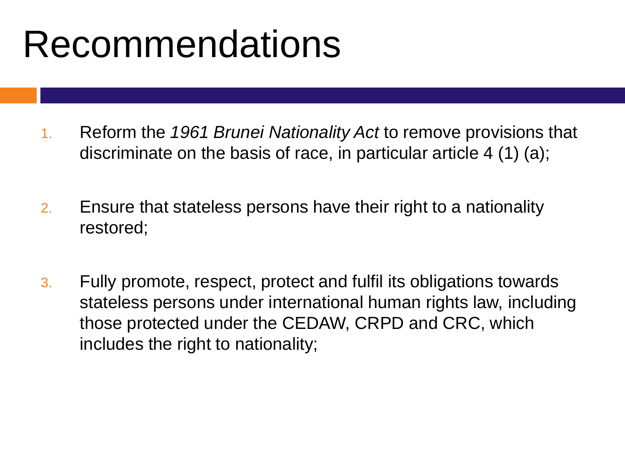## Recommendations

- 1. Reform the *1961 Brunei Nationality Act* to remove provisions that discriminate on the basis of race, in particular article 4 (1) (a);
- 2. Ensure that stateless persons have their right to a nationality restored;
- 3. Fully promote, respect, protect and fulfil its obligations towards stateless persons under international human rights law, including those protected under the CEDAW, CRPD and CRC, which includes the right to nationality;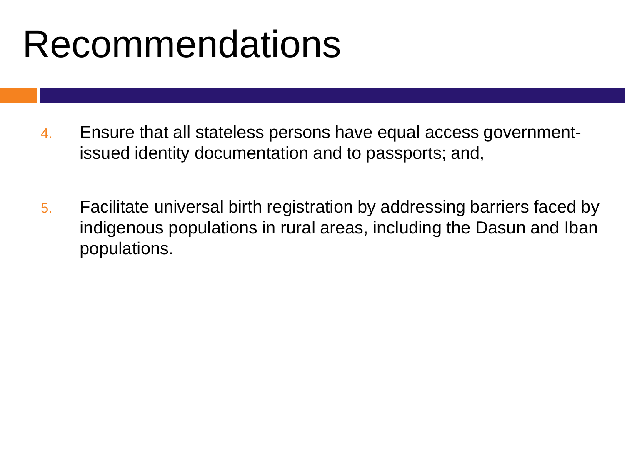## Recommendations

- 4. Ensure that all stateless persons have equal access governmentissued identity documentation and to passports; and,
- 5. Facilitate universal birth registration by addressing barriers faced by indigenous populations in rural areas, including the Dasun and Iban populations.